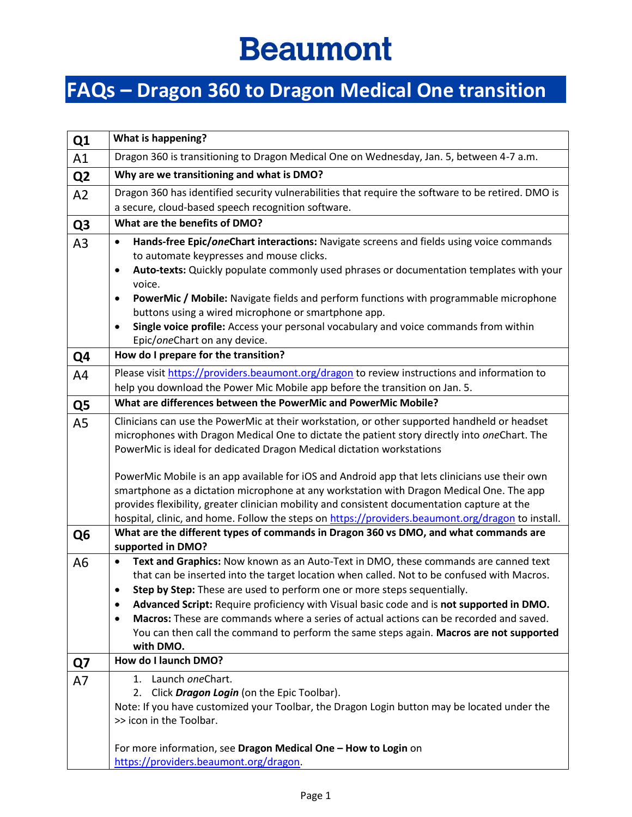## **Beaumont**

## **FAQs – Dragon 360 to Dragon Medical One transition**

| Q1             | <b>What is happening?</b>                                                                                      |  |  |  |  |
|----------------|----------------------------------------------------------------------------------------------------------------|--|--|--|--|
| A1             | Dragon 360 is transitioning to Dragon Medical One on Wednesday, Jan. 5, between 4-7 a.m.                       |  |  |  |  |
| Q <sub>2</sub> | Why are we transitioning and what is DMO?                                                                      |  |  |  |  |
| A2             | Dragon 360 has identified security vulnerabilities that require the software to be retired. DMO is             |  |  |  |  |
|                | a secure, cloud-based speech recognition software.                                                             |  |  |  |  |
| Q <sub>3</sub> | What are the benefits of DMO?                                                                                  |  |  |  |  |
| A <sub>3</sub> | Hands-free Epic/oneChart interactions: Navigate screens and fields using voice commands<br>$\bullet$           |  |  |  |  |
|                | to automate keypresses and mouse clicks.                                                                       |  |  |  |  |
|                | Auto-texts: Quickly populate commonly used phrases or documentation templates with your<br>$\bullet$<br>voice. |  |  |  |  |
|                | PowerMic / Mobile: Navigate fields and perform functions with programmable microphone<br>٠                     |  |  |  |  |
|                | buttons using a wired microphone or smartphone app.                                                            |  |  |  |  |
|                | Single voice profile: Access your personal vocabulary and voice commands from within<br>$\bullet$              |  |  |  |  |
|                | Epic/oneChart on any device.                                                                                   |  |  |  |  |
| Q4             | How do I prepare for the transition?                                                                           |  |  |  |  |
| A4             | Please visit https://providers.beaumont.org/dragon to review instructions and information to                   |  |  |  |  |
|                | help you download the Power Mic Mobile app before the transition on Jan. 5.                                    |  |  |  |  |
| Q5             | What are differences between the PowerMic and PowerMic Mobile?                                                 |  |  |  |  |
| A <sub>5</sub> | Clinicians can use the PowerMic at their workstation, or other supported handheld or headset                   |  |  |  |  |
|                | microphones with Dragon Medical One to dictate the patient story directly into oneChart. The                   |  |  |  |  |
|                | PowerMic is ideal for dedicated Dragon Medical dictation workstations                                          |  |  |  |  |
|                | PowerMic Mobile is an app available for iOS and Android app that lets clinicians use their own                 |  |  |  |  |
|                | smartphone as a dictation microphone at any workstation with Dragon Medical One. The app                       |  |  |  |  |
|                | provides flexibility, greater clinician mobility and consistent documentation capture at the                   |  |  |  |  |
|                | hospital, clinic, and home. Follow the steps on https://providers.beaumont.org/dragon to install.              |  |  |  |  |
| Q <sub>6</sub> | What are the different types of commands in Dragon 360 vs DMO, and what commands are                           |  |  |  |  |
|                | supported in DMO?                                                                                              |  |  |  |  |
| A <sub>6</sub> | Text and Graphics: Now known as an Auto-Text in DMO, these commands are canned text<br>$\bullet$               |  |  |  |  |
|                | that can be inserted into the target location when called. Not to be confused with Macros.                     |  |  |  |  |
|                | Step by Step: These are used to perform one or more steps sequentially.                                        |  |  |  |  |
|                | Advanced Script: Require proficiency with Visual basic code and is not supported in DMO.<br>٠                  |  |  |  |  |
|                | Macros: These are commands where a series of actual actions can be recorded and saved.<br>$\bullet$            |  |  |  |  |
|                | You can then call the command to perform the same steps again. Macros are not supported<br>with DMO.           |  |  |  |  |
| Q7             | How do I launch DMO?                                                                                           |  |  |  |  |
|                | 1. Launch oneChart.                                                                                            |  |  |  |  |
| A7             | 2. Click Dragon Login (on the Epic Toolbar).                                                                   |  |  |  |  |
|                | Note: If you have customized your Toolbar, the Dragon Login button may be located under the                    |  |  |  |  |
|                | >> icon in the Toolbar.                                                                                        |  |  |  |  |
|                |                                                                                                                |  |  |  |  |
|                | For more information, see Dragon Medical One - How to Login on                                                 |  |  |  |  |
|                | https://providers.beaumont.org/dragon.                                                                         |  |  |  |  |